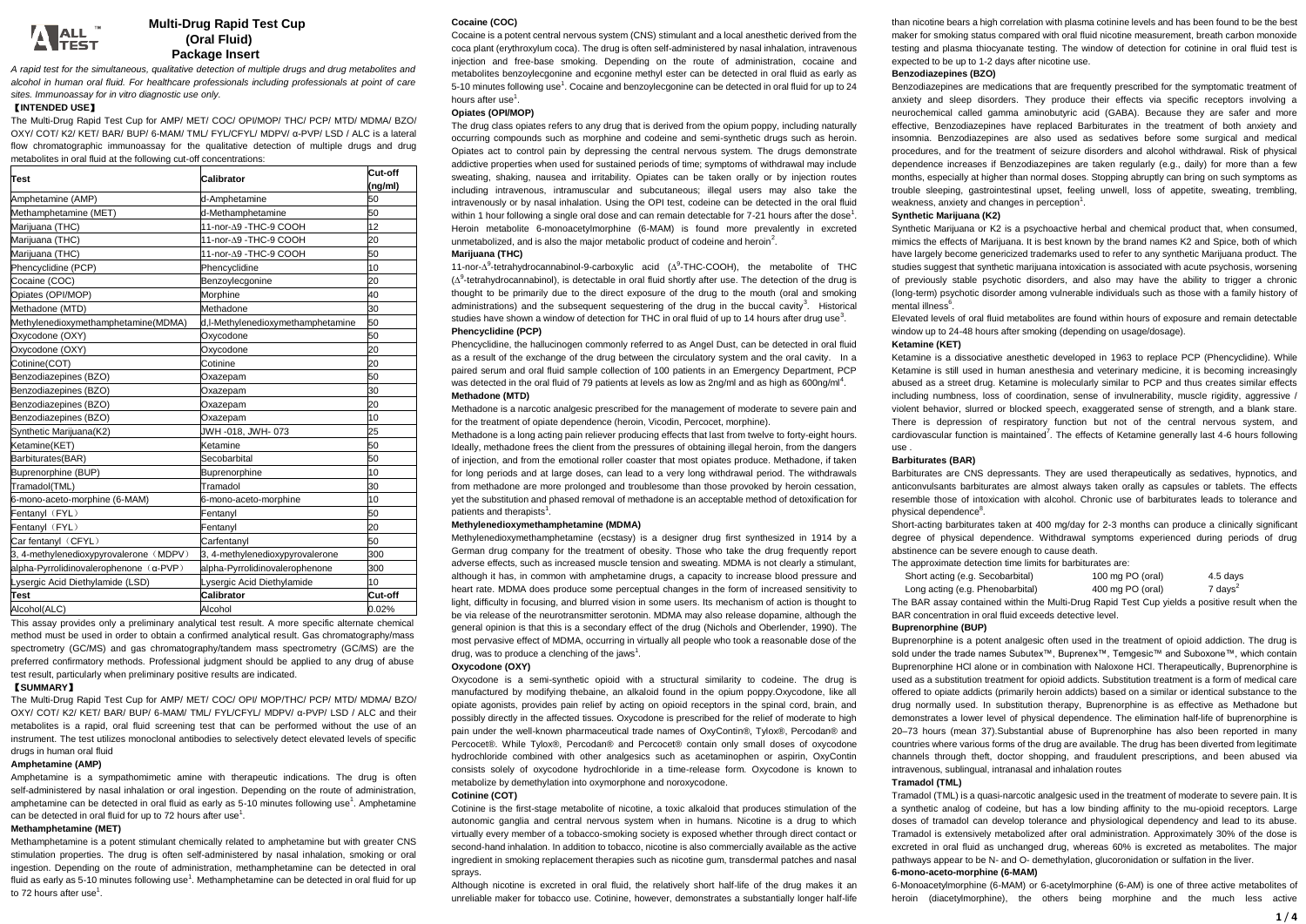# A ALL

# **Multi-Drug Rapid Test Cup (Oral Fluid) Package Insert**

*A rapid test for the simultaneous, qualitative detection of multiple drugs and drug metabolites and alcohol in human oral fluid. For healthcare professionals including professionals at point of care sites. Immunoassay for in vitro diagnostic use only.*

## 【**INTENDED USE**】

The Multi-Drug Rapid Test Cup for AMP/ MET/ COC/ OPI/MOP/ THC/ PCP/ MTD/ MDMA/ BZO/ OXY/ COT/ K2/ KET/ BAR/ BUP/ 6-MAM/ TML/ FYL/CFYL/ MDPV/ α-PVP/ LSD / ALC is a lateral flow chromatographic immunoassay for the qualitative detection of multiple drugs and drug metabolites in oral fluid at the following cut-off concentrations:

| <b>Test</b>                            | Calibrator                        | Cut-off<br>(ng/ml) |  |  |
|----------------------------------------|-----------------------------------|--------------------|--|--|
| Amphetamine (AMP)                      | d-Amphetamine                     | 50                 |  |  |
| Methamphetamine (MET)                  | d-Methamphetamine                 | 50                 |  |  |
| Marijuana (THC)                        | 11-nor-A9 -THC-9 COOH             | 12                 |  |  |
| Marijuana (THC)                        | 11-nor-A9 -THC-9 COOH             | 20                 |  |  |
| Marijuana (THC)                        | 11-nor-A9 -THC-9 COOH             | 50                 |  |  |
| Phencyclidine (PCP)                    | Phencyclidine                     | 10                 |  |  |
| Cocaine (COC)                          | Benzoylecgonine                   | 20                 |  |  |
| Opiates (OPI/MOP)                      | Morphine                          | 40                 |  |  |
| Methadone (MTD)                        | Methadone                         | 30                 |  |  |
| Methylenedioxymethamphetamine(MDMA)    | d,I-Methylenedioxymethamphetamine | 50                 |  |  |
| Oxycodone (OXY)                        | Oxycodone                         | 50                 |  |  |
| Oxycodone (OXY)                        | Oxvcodone                         | 20                 |  |  |
| Cotinine(COT)                          | Cotinine                          | 20                 |  |  |
| Benzodiazepines (BZO)                  | Oxazepam                          | 50                 |  |  |
| Benzodiazepines (BZO)                  | Oxazepam                          | 30                 |  |  |
| Benzodiazepines (BZO)                  | Oxazepam                          | 20                 |  |  |
| Benzodiazepines (BZO)                  | Oxazepam                          | 10                 |  |  |
| Synthetic Marijuana(K2)                | JWH -018, JWH-073                 | 25                 |  |  |
| Ketamine(KET)                          | Ketamine                          | 50                 |  |  |
| Barbiturates(BAR)                      | Secobarbital                      | 50                 |  |  |
| Buprenorphine (BUP)                    | Buprenorphine                     | 10                 |  |  |
| Tramadol(TML)                          | Tramadol                          | 30                 |  |  |
| 6-mono-aceto-morphine (6-MAM)          | 6-mono-aceto-morphine             | 10                 |  |  |
| Fentanyl (FYL)                         | Fentanyl                          | 50                 |  |  |
| Fentanyl (FYL)                         | Fentanyl                          | 20                 |  |  |
| Car fentanyl (CFYL)                    | Carfentanyl                       | 50                 |  |  |
| 3, 4-methylenedioxypyrovalerone (MDPV) | 3, 4-methylenedioxypyrovalerone   | 300                |  |  |
| alpha-Pyrrolidinovalerophenone (α-PVP) | alpha-Pyrrolidinovalerophenone    | 300                |  |  |
| Lysergic Acid Diethylamide (LSD)       | Lysergic Acid Diethylamide        | 10                 |  |  |
| Test                                   | Calibrator                        | Cut-off            |  |  |
| Alcohol(ALC)                           | Alcohol                           | 0.02%              |  |  |

This assay provides only a preliminary analytical test result. A more specific alternate chemical method must be used in order to obtain a confirmed analytical result. Gas chromatography/mass spectrometry (GC/MS) and gas chromatography/tandem mass spectrometry (GC/MS) are the preferred confirmatory methods. Professional judgment should be applied to any drug of abuse test result, particularly when preliminary positive results are indicated.

# 【**SUMMARY**】

The Multi-Drug Rapid Test Cup for AMP/ MET/ COC/ OPI/ MOP/THC/ PCP/ MTD/ MDMA/ R7O/ OXY/ COT/ K2/ KET/ BAR/ BUP/ 6-MAM/ TML/ FYL/CFYL/ MDPV/ α-PVP/ LSD / ALC and their metabolites is a rapid, oral fluid screening test that can be performed without the use of an instrument. The test utilizes monoclonal antibodies to selectively detect elevated levels of specific drugs in human oral fluid

# **Amphetamine (AMP)**

Amphetamine is a sympathomimetic amine with therapeutic indications. The drug is often self-administered by nasal inhalation or oral ingestion. Depending on the route of administration, amphetamine can be detected in oral fluid as early as 5-10 minutes following use<sup>1</sup>. Amphetamine can be detected in oral fluid for up to 72 hours after use<sup>1</sup>.

# **Methamphetamine (MET)**

Methamphetamine is a potent stimulant chemically related to amphetamine but with greater CNS stimulation properties. The drug is often self-administered by nasal inhalation, smoking or oral ingestion. Depending on the route of administration, methamphetamine can be detected in oral fluid as early as 5-10 minutes following use<sup>1</sup>. Methamphetamine can be detected in oral fluid for up to 72 hours after use<sup>1</sup>.

## **Cocaine (COC)**

Cocaine is a potent central nervous system (CNS) stimulant and a local anesthetic derived from the coca plant (erythroxylum coca). The drug is often self-administered by nasal inhalation, intravenous injection and free-base smoking. Depending on the route of administration, cocaine and metabolites benzoylecgonine and ecgonine methyl ester can be detected in oral fluid as early as 5-10 minutes following use<sup>1</sup>. Cocaine and benzoylecgonine can be detected in oral fluid for up to 24 hours after use<sup>1</sup>.

# **Opiates (OPI/MOP)**

The drug class opiates refers to any drug that is derived from the opium poppy, including naturally occurring compounds such as morphine and codeine and semi-synthetic drugs such as heroin. Opiates act to control pain by depressing the central nervous system. The drugs demonstrate addictive properties when used for sustained periods of time; symptoms of withdrawal may include sweating, shaking, nausea and irritability. Opiates can be taken orally or by injection routes including intravenous, intramuscular and subcutaneous; illegal users may also take the intravenously or by nasal inhalation. Using the OPI test, codeine can be detected in the oral fluid within 1 hour following a single oral dose and can remain detectable for 7-21 hours after the dose<sup>1</sup>. Heroin metabolite 6-monoacetylmorphine (6-MAM) is found more prevalently in excreted unmetabolized, and is also the major metabolic product of codeine and heroin<sup>2</sup>.

## **Marijuana (THC)**

11-nor- $\Delta^9$ -tetrahydrocannabinol-9-carboxylic acid ( $\Delta^9$ -THC-COOH), the metabolite of THC  $(\Delta^9$ -tetrahydrocannabinol), is detectable in oral fluid shortly after use. The detection of the drug is thought to be primarily due to the direct exposure of the drug to the mouth (oral and smoking administrations) and the subsequent sequestering of the drug in the buccal cavity<sup>3</sup>. Historical studies have shown a window of detection for THC in oral fluid of up to 14 hours after drug use<sup>3</sup>. **Phencyclidine (PCP)**

Phencyclidine, the hallucinogen commonly referred to as Angel Dust, can be detected in oral fluid as a result of the exchange of the drug between the circulatory system and the oral cavity. In a paired serum and oral fluid sample collection of 100 patients in an Emergency Department, PCP was detected in the oral fluid of 79 patients at levels as low as 2ng/ml and as high as 600ng/ml<sup>4</sup>. **Methadone (MTD)**

Methadone is a narcotic analgesic prescribed for the management of moderate to severe pain and for the treatment of opiate dependence (heroin, Vicodin, Percocet, morphine).

Methadone is a long acting pain reliever producing effects that last from twelve to forty-eight hours. Ideally, methadone frees the client from the pressures of obtaining illegal heroin, from the dangers of injection, and from the emotional roller coaster that most opiates produce. Methadone, if taken for long periods and at large doses, can lead to a very long withdrawal period. The withdrawals from methadone are more prolonged and troublesome than those provoked by heroin cessation, yet the substitution and phased removal of methadone is an acceptable method of detoxification for patients and therapists<sup>1</sup> .

### **Methylenedioxymethamphetamine (MDMA)**

Methylenedioxymethamphetamine (ecstasy) is a designer drug first synthesized in 1914 by a German drug company for the treatment of obesity. Those who take the drug frequently report adverse effects, such as increased muscle tension and sweating. MDMA is not clearly a stimulant, although it has, in common with amphetamine drugs, a capacity to increase blood pressure and heart rate. MDMA does produce some perceptual changes in the form of increased sensitivity to light, difficulty in focusing, and blurred vision in some users. Its mechanism of action is thought to be via release of the neurotransmitter serotonin. MDMA may also release dopamine, although the general opinion is that this is a secondary effect of the drug (Nichols and Oberlender, 1990). The most pervasive effect of MDMA, occurring in virtually all people who took a reasonable dose of the drug, was to produce a clenching of the jaws<sup>1</sup>.

## **Oxycodone (OXY)**

Oxycodone is a semi-synthetic opioid with a structural similarity to codeine. The drug is manufactured by modifying thebaine, an alkaloid found in the opium poppy.Oxycodone, like all opiate agonists, provides pain relief by acting on opioid receptors in the spinal cord, brain, and possibly directly in the affected tissues. Oxycodone is prescribed for the relief of moderate to high pain under the well-known pharmaceutical trade names of OxyContin®, Tylox®, Percodan® and Percocet®. While Tylox®, Percodan® and Percocet® contain only small doses of oxycodone hydrochloride combined with other analgesics such as acetaminophen or aspirin, OxyContin consists solely of oxycodone hydrochloride in a time-release form. Oxycodone is known to metabolize by demethylation into oxymorphone and noroxycodone.

### **Cotinine (COT)**

Cotinine is the first-stage metabolite of nicotine, a toxic alkaloid that produces stimulation of the autonomic ganglia and central nervous system when in humans. Nicotine is a drug to which virtually every member of a tobacco-smoking society is exposed whether through direct contact or second-hand inhalation. In addition to tobacco, nicotine is also commercially available as the active ingredient in smoking replacement therapies such as nicotine gum, transdermal patches and nasal sprays.

Although nicotine is excreted in oral fluid, the relatively short half-life of the drug makes it an unreliable maker for tobacco use. Cotinine, however, demonstrates a substantially longer half-life

than nicotine bears a high correlation with plasma cotinine levels and has been found to be the best maker for smoking status compared with oral fluid nicotine measurement, breath carbon monoxide testing and plasma thiocyanate testing. The window of detection for cotinine in oral fluid test is expected to be up to 1-2 days after nicotine use.

## **Benzodiazepines (BZO)**

Benzodiazepines are medications that are frequently prescribed for the symptomatic treatment of anxiety and sleep disorders. They produce their effects via specific receptors involving a neurochemical called gamma aminobutyric acid (GABA). Because they are safer and more effective, Benzodiazepines have replaced Barbiturates in the treatment of both anxiety and insomnia. Benzodiazepines are also used as sedatives before some surgical and medical procedures, and for the treatment of seizure disorders and alcohol withdrawal. Risk of physical dependence increases if Benzodiazepines are taken regularly (e.g., daily) for more than a few months, especially at higher than normal doses. Stopping abruptly can bring on such symptoms as trouble sleeping, gastrointestinal upset, feeling unwell, loss of appetite, sweating, trembling, weakness, anxiety and changes in perception<sup>1</sup>.

### **Synthetic Marijuana (K2)**

Synthetic Marijuana or K2 is a psychoactive herbal and chemical product that, when consumed mimics the effects of Marijuana. It is best known by the brand names K2 and Spice, both of which have largely become genericized trademarks used to refer to any synthetic Marijuana product. The studies suggest that synthetic marijuana intoxication is associated with acute psychosis, worsening of previously stable psychotic disorders, and also may have the ability to trigger a chronic (long-term) psychotic disorder among vulnerable individuals such as those with a family history of mental illness $<sup>6</sup>$ </sup> .

Elevated levels of oral fluid metabolites are found within hours of exposure and remain detectable window up to 24-48 hours after smoking (depending on usage/dosage).

### **Ketamine (KET)**

Ketamine is a dissociative anesthetic developed in 1963 to replace PCP (Phencyclidine). While Ketamine is still used in human anesthesia and veterinary medicine, it is becoming increasingly abused as a street drug. Ketamine is molecularly similar to PCP and thus creates similar effects including numbness, loss of coordination, sense of invulnerability, muscle rigidity, aggressive / violent behavior, slurred or blocked speech, exaggerated sense of strength, and a blank stare. There is depression of respiratory function but not of the central nervous system, and cardiovascular function is maintained<sup>7</sup>. The effects of Ketamine generally last 4-6 hours following use .

## **Barbiturates (BAR)**

Barbiturates are CNS depressants. They are used therapeutically as sedatives, hypnotics, and anticonvulsants barbiturates are almost always taken orally as capsules or tablets. The effects resemble those of intoxication with alcohol. Chronic use of barbiturates leads to tolerance and physical dependence<sup>8</sup>.

Short-acting barbiturates taken at 400 mg/day for 2-3 months can produce a clinically significant degree of physical dependence. Withdrawal symptoms experienced during periods of drug abstinence can be severe enough to cause death.

The approximate detection time limits for barbiturates are: Short acting (

| Short acting (e.g. Secobarbital) | 100 mg PO (oral) | 4.5 days           |
|----------------------------------|------------------|--------------------|
| Long acting (e.g. Phenobarbital) | 400 mg PO (oral) | $7 \text{ days}^2$ |

The BAR assay contained within the Multi-Drug Rapid Test Cup yields a positive result when the BAR concentration in oral fluid exceeds detective level.

## **Buprenorphine (BUP)**

Buprenorphine is a potent analgesic often used in the treatment of opioid addiction. The drug is sold under the trade names Subutex™, Buprenex™, Temgesic™ and Suboxone™, which contain Buprenorphine HCl alone or in combination with Naloxone HCl. Therapeutically, Buprenorphine is used as a substitution treatment for opioid addicts. Substitution treatment is a form of medical care offered to opiate addicts (primarily heroin addicts) based on a similar or identical substance to the drug normally used. In substitution therapy, Buprenorphine is as effective as Methadone but demonstrates a lower level of physical dependence. The [elimination half-life](https://en.wikipedia.org/wiki/Elimination_half-life) of buprenorphine is 20–73 hours (mean 37).Substantial abuse of Buprenorphine has also been reported in many countries where various forms of the drug are available. The drug has been diverted from legitimate channels through theft, doctor shopping, and fraudulent prescriptions, and been abused via intravenous, sublingual, intranasal and inhalation routes

## **Tramadol (TML)**

Tramadol (TML) is a quasi-narcotic analgesic used in the treatment of moderate to severe pain. It is a synthetic analog of codeine, but has a low binding affinity to the mu-opioid receptors. Large doses of tramadol can develop tolerance and physiological dependency and lead to its abuse. Tramadol is extensively metabolized after oral administration. Approximately 30% of the dose is excreted in oral fluid as unchanged drug, whereas 60% is excreted as metabolites. The major pathways appear to be N- and O- demethylation, glucoronidation or sulfation in the liver.

# **6-mono-aceto-morphine (6-MAM)**

6-Monoacetylmorphine (6-MAM) or 6-acetylmorphine (6-AM) is one of three activ[e metabolites](http://en.wikipedia.org/wiki/Metabolite) of [heroin](http://en.wikipedia.org/wiki/Heroin) (diacetylmorphine), the others being morphine and the much less active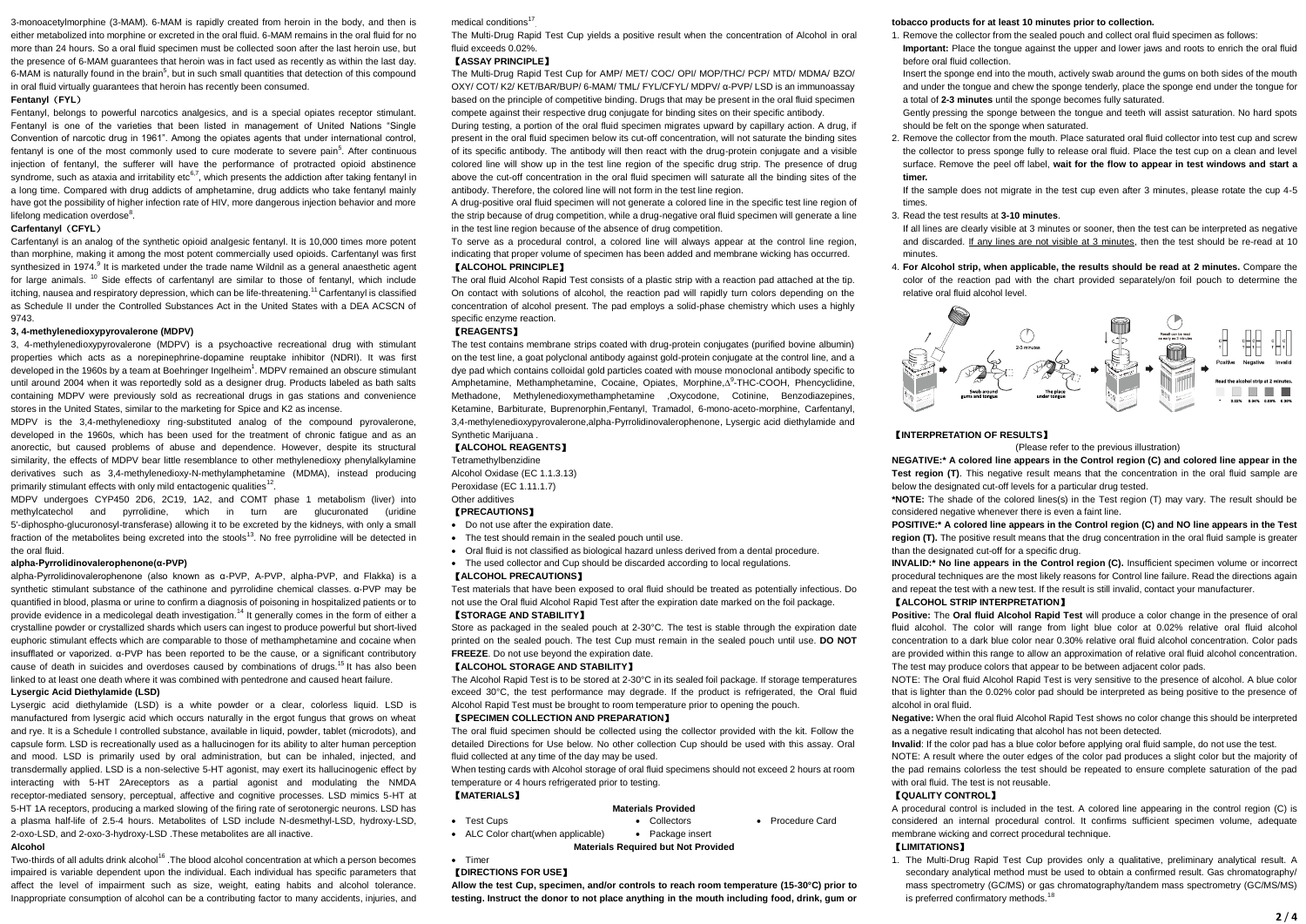[3-monoacetylmorphine](http://en.wikipedia.org/wiki/3-Monoacetylmorphine) (3-MAM). 6-MAM is rapidly created from heroin in the body, and then is either metabolized int[o morphine](http://en.wikipedia.org/wiki/Morphine) or excreted in the oral fluid. 6-MAM remains in the oral fluid for no more than 24 hours. So a oral fluid specimen must be collected soon after the last heroin use, but the presence of 6-MAM guarantees that heroin was in fact used as recently as within the last day. 6-MAM is naturally found in the brain<sup>5</sup>, but in such small quantities that detection of this compound in oral fluid virtually guarantees that heroin has recently been consumed.

#### **Fentanyl**(**FYL**)

Fentanyl, belongs to powerful narcotics analgesics, and is a special opiates receptor stimulant. Fentanyl is one of the varieties that been listed in management of United Nations "Single Convention of narcotic drug in 1961". Among the opiates agents that under international control, fentanyl is one of the most commonly used to cure moderate to severe pain<sup>5</sup>. After continuous injection of fentanyl, the sufferer will have the performance of protracted opioid abstinence syndrome, such as ataxia and irritability etc<sup>6,7</sup>, which presents the addiction after taking fentanyl in a long time. Compared with drug addicts of amphetamine, drug addicts who take fentanyl mainly have got the possibility of higher infection rate of HIV, more dangerous injection behavior and more lifelong medication overdose<sup>8</sup>.

## **Carfentanyl**(**CFYL**)

Carfentanyl is an analog of the synthetic opioid analgesic fentanyl. It is 10,000 times more potent than morphine, making it among the most potent commercially used opioids. Carfentanyl was first synthesized in 1974.<sup>9</sup> It is marketed under the trade name Wildnil as a general anaesthetic agent for large animals. <sup>10</sup> Side effects of carfentanyl are similar to those of fentanyl, which include itching, nausea and respiratory depression, which can be life-threatening.<sup>11</sup> Carfentanyl is classified as Schedule II under the Controlled Substances Act in the United States with a DEA ACSCN of 9743.

#### **3, 4-methylenedioxypyrovalerone (MDPV)**

3, 4-methylenedioxypyrovalerone (MDPV) is a psychoactive recreational drug with stimulant properties which acts as a norepinephrine-dopamine reuptake inhibitor (NDRI). It was first developed in the 1960s by a team at Boehringer Ingelheim<sup>1</sup>. MDPV remained an obscure stimulant until around 2004 when it was reportedly sold as a designer drug. Products labeled as bath salts containing MDPV were previously sold as recreational drugs in gas stations and convenience stores in the United States, similar to the marketing for Spice and K2 as incense.

MDPV is the 3,4-methylenedioxy ring-substituted analog of the compound pyrovalerone, developed in the 1960s, which has been used for the treatment of chronic fatigue and as an anorectic, but caused problems of abuse and dependence. However, despite its structural similarity, the effects of MDPV bear little resemblance to other methylenedioxy phenylalkylamine derivatives such as 3,4-methylenedioxy-N-methylamphetamine (MDMA), instead producing primarily stimulant effects with only mild entactogenic qualities<sup>12</sup>.

MDPV undergoes CYP450 2D6, 2C19, 1A2, and COMT phase 1 metabolism (liver) into methylcatechol and pyrrolidine, which in turn are glucuronated (uridine 5'-diphospho-glucuronosyl-transferase) allowing it to be excreted by the kidneys, with only a small fraction of the metabolites being excreted into the stools<sup>13</sup>. No free pyrrolidine will be detected in the oral fluid.

#### **alpha-Pyrrolidinovalerophenone(α-PVP)**

alpha-Pyrrolidinovalerophenone (also known as α-PVP, A-PVP, alpha-PVP, and Flakka) is a synthetic stimulant substance of the cathinone and pyrrolidine chemical classes. α-PVP may be quantified in blood, plasma or urine to confirm a diagnosis of poisoning in hospitalized patients or to provide evidence in a medicolegal death investigation.<sup>14</sup> It generally comes in the form of either a crystalline powder or crystallized shards which users can ingest to produce powerful but short-lived euphoric stimulant effects which are comparable to those of methamphetamine and cocaine when insufflated or vaporized. α-PVP has been reported to be the cause, or a significant contributory cause of death in suicides and overdoses caused by combinations of drugs.<sup>15</sup> It has also been linked to at least one death where it was combined with pentedrone and caused heart failure.

## **Lysergic Acid Diethylamide (LSD)**

Lysergic acid diethylamide (LSD) is a white powder or a clear, colorless liquid. LSD is manufactured from lysergic acid which occurs naturally in the ergot fungus that grows on wheat and rye. It is a Schedule I controlled substance, available in liquid, powder, tablet (microdots), and capsule form. LSD is recreationally used as a hallucinogen for its ability to alter human perception and mood. LSD is primarily used by oral administration, but can be inhaled, injected, and transdermally applied. LSD is a non-selective 5-HT agonist, may exert its hallucinogenic effect by interacting with 5-HT 2Areceptors as a partial agonist and modulating the NMDA receptor-mediated sensory, perceptual, affective and cognitive processes. LSD mimics 5-HT at 5-HT 1A receptors, producing a marked slowing of the firing rate of serotonergic neurons. LSD has a plasma half-life of 2.5-4 hours. Metabolites of LSD include N-desmethyl-LSD, hydroxy-LSD, 2-oxo-LSD, and 2-oxo-3-hydroxy-LSD .These metabolites are all inactive. **Alcohol**

Two-thirds of all adults drink alcohol<sup>16</sup>. The blood alcohol concentration at which a person becomes impaired is variable dependent upon the individual. Each individual has specific parameters that affect the level of impairment such as size, weight, eating habits and alcohol tolerance. Inappropriate consumption of alcohol can be a contributing factor to many accidents, injuries, and

#### medical conditions<sup>1</sup>

. The Multi-Drug Rapid Test Cup yields a positive result when the concentration of Alcohol in oral fluid exceeds 0.02%

#### 【**ASSAY PRINCIPLE**】

The Multi-Drug Rapid Test Cup for AMP/ MET/ COC/ OPI/ MOP/THC/ PCP/ MTD/ MDMA/ BZO/ OXY/ COT/ K2/ KET/BAR/BUP/ 6-MAM/ TML/ FYL/CFYL/ MDPV/ α-PVP/ LSD is an immunoassay based on the principle of competitive binding. Drugs that may be present in the oral fluid specimen compete against their respective drug conjugate for binding sites on their specific antibody.

During testing, a portion of the oral fluid specimen migrates upward by capillary action. A drug, if present in the oral fluid specimen below its cut-off concentration, will not saturate the binding sites of its specific antibody. The antibody will then react with the drug-protein conjugate and a visible colored line will show up in the test line region of the specific drug strip. The presence of drug above the cut-off concentration in the oral fluid specimen will saturate all the binding sites of the antibody. Therefore, the colored line will not form in the test line region.

A drug-positive oral fluid specimen will not generate a colored line in the specific test line region of the strip because of drug competition, while a drug-negative oral fluid specimen will generate a line in the test line region because of the absence of drug competition.

To serve as a procedural control, a colored line will always appear at the control line region, indicating that proper volume of specimen has been added and membrane wicking has occurred. 【**ALCOHOL PRINCIPLE**】

## The oral fluid Alcohol Rapid Test consists of a plastic strip with a reaction pad attached at the tip. On contact with solutions of alcohol, the reaction pad will rapidly turn colors depending on the concentration of alcohol present. The pad employs a solid-phase chemistry which uses a highly specific enzyme reaction.

#### 【**REAGENTS**】

The test contains membrane strips coated with drug-protein conjugates (purified bovine albumin) on the test line, a goat polyclonal antibody against gold-protein conjugate at the control line, and a dye pad which contains colloidal gold particles coated with mouse monoclonal antibody specific to Amphetamine, Methamphetamine, Cocaine, Opiates, Morphine, A<sup>9</sup>-THC-COOH, Phencyclidine, Methadone, Methylenedioxymethamphetamine ,Oxycodone, Cotinine, Benzodiazepines, Ketamine, Barbiturate, Buprenorphin,Fentanyl, Tramadol, 6-mono-aceto-morphine, Carfentanyl, 3,4-methylenedioxypyrovalerone,alpha-Pyrrolidinovalerophenone, Lysergic acid diethylamide and Synthetic Marijuana .

#### 【**ALCOHOL REAGENTS**】

Tetramethylbenzidine

Alcohol Oxidase (EC 1.1.3.13) Peroxidase (EC 1.11.1.7) Other additives

#### 【**PRECAUTIONS**】

- Do not use after the expiration date.
- The test should remain in the sealed pouch until use.
- Oral fluid is not classified as biological hazard unless derived from a dental procedure.
- The used collector and Cup should be discarded according to local regulations.

## 【**ALCOHOL PRECAUTIONS**】

Test materials that have been exposed to oral fluid should be treated as potentially infectious. Do not use the Oral fluid Alcohol Rapid Test after the expiration date marked on the foil package. 【**STORAGE AND STABILITY**】

Store as packaged in the sealed pouch at 2-30°C. The test is stable through the expiration date printed on the sealed pouch. The test Cup must remain in the sealed pouch until use. **DO NOT FREEZE**. Do not use beyond the expiration date.

#### 【**ALCOHOL STORAGE AND STABILITY**】

The Alcohol Rapid Test is to be stored at 2-30°C in its sealed foil package. If storage temperatures exceed 30°C, the test performance may degrade. If the product is refrigerated, the Oral fluid Alcohol Rapid Test must be brought to room temperature prior to opening the pouch.

## 【**SPECIMEN COLLECTION AND PREPARATION**】

The oral fluid specimen should be collected using the collector provided with the kit. Follow the detailed Directions for Use below. No other collection Cup should be used with this assay. Oral fluid collected at any time of the day may be used.

When testing cards with Alcohol storage of oral fluid specimens should not exceed 2 hours at room temperature or 4 hours refrigerated prior to testing.

# 【**MATERIALS**】

## **Materials Provided**

 Test Cups Collectors Procedure Card • ALC Color chart(when applicable) • Package insert

**Materials Required but Not Provided**

#### **Compart** 【**DIRECTIONS FOR USE**】

**Allow the test Cup, specimen, and/or controls to reach room temperature (15-30°C) prior to testing. Instruct the donor to not place anything in the mouth including food, drink, gum or** 

#### **tobacco products for at least 10 minutes prior to collection.**

1. Remove the collector from the sealed pouch and collect oral fluid specimen as follows:

**Important:** Place the tongue against the upper and lower jaws and roots to enrich the oral fluid before oral fluid collection.

Insert the sponge end into the mouth, actively swab around the gums on both sides of the mouth and under the tongue and chew the sponge tenderly, place the sponge end under the tongue for a total of **2-3 minutes** until the sponge becomes fully saturated.

Gently pressing the sponge between the tongue and teeth will assist saturation. No hard spots should be felt on the sponge when saturated.

2. Remove the collector from the mouth. Place saturated oral fluid collector into test cup and screw the collector to press sponge fully to release oral fluid. Place the test cup on a clean and level surface. Remove the peel off label, **wait for the flow to appear in test windows and start a timer.**

If the sample does not migrate in the test cup even after 3 minutes, please rotate the cup 4-5 times.

#### 3. Read the test results at **3-10 minutes**.

If all lines are clearly visible at 3 minutes or sooner, then the test can be interpreted as negative and discarded. If any lines are not visible at 3 minutes, then the test should be re-read at 10 minutes.

4. **For Alcohol strip, when applicable, the results should be read at 2 minutes.** Compare the color of the reaction pad with the chart provided separately/on foil pouch to determine the relative oral fluid alcohol level.



## 【**INTERPRETATION OF RESULTS**】

(Please refer to the previous illustration)

**NEGATIVE:\* A colored line appears in the Control region (C) and colored line appear in the Test region (T).** This negative result means that the concentration in the oral fluid sample are below the designated cut-off levels for a particular drug tested.

**\*NOTE:** The shade of the colored lines(s) in the Test region (T) may vary. The result should be considered negative whenever there is even a faint line.

**POSITIVE:\* A colored line appears in the Control region (C) and NO line appears in the Test region (T).** The positive result means that the drug concentration in the oral fluid sample is greater than the designated cut-off for a specific drug.

**INVALID:\* No line appears in the Control region (C).** Insufficient specimen volume or incorrect procedural techniques are the most likely reasons for Control line failure. Read the directions again and repeat the test with a new test. If the result is still invalid, contact your manufacturer.

#### 【**ALCOHOL STRIP INTERPRETATION**】

**Positive:** The **Oral fluid Alcohol Rapid Test** will produce a color change in the presence of oral fluid alcohol. The color will range from light blue color at 0.02% relative oral fluid alcohol concentration to a dark blue color near 0.30% relative oral fluid alcohol concentration. Color pads are provided within this range to allow an approximation of relative oral fluid alcohol concentration. The test may produce colors that appear to be between adjacent color pads.

NOTE: The Oral fluid Alcohol Rapid Test is very sensitive to the presence of alcohol. A blue color that is lighter than the 0.02% color pad should be interpreted as being positive to the presence of alcohol in oral fluid.

**Negative:** When the oral fluid Alcohol Rapid Test shows no color change this should be interpreted as a negative result indicating that alcohol has not been detected.

**Invalid**: If the color pad has a blue color before applying oral fluid sample, do not use the test. NOTE: A result where the outer edges of the color pad produces a slight color but the majority of the pad remains colorless the test should be repeated to ensure complete saturation of the pad with oral fluid. The test is not reusable.

#### 【**QUALITY CONTROL**】

A procedural control is included in the test. A colored line appearing in the control region (C) is considered an internal procedural control. It confirms sufficient specimen volume, adequate membrane wicking and correct procedural technique.

## 【**LIMITATIONS**】

1. The Multi-Drug Rapid Test Cup provides only a qualitative, preliminary analytical result. A secondary analytical method must be used to obtain a confirmed result. Gas chromatography/ mass spectrometry (GC/MS) or gas chromatography/tandem mass spectrometry (GC/MS/MS) is preferred confirmatory methods.<sup>18</sup>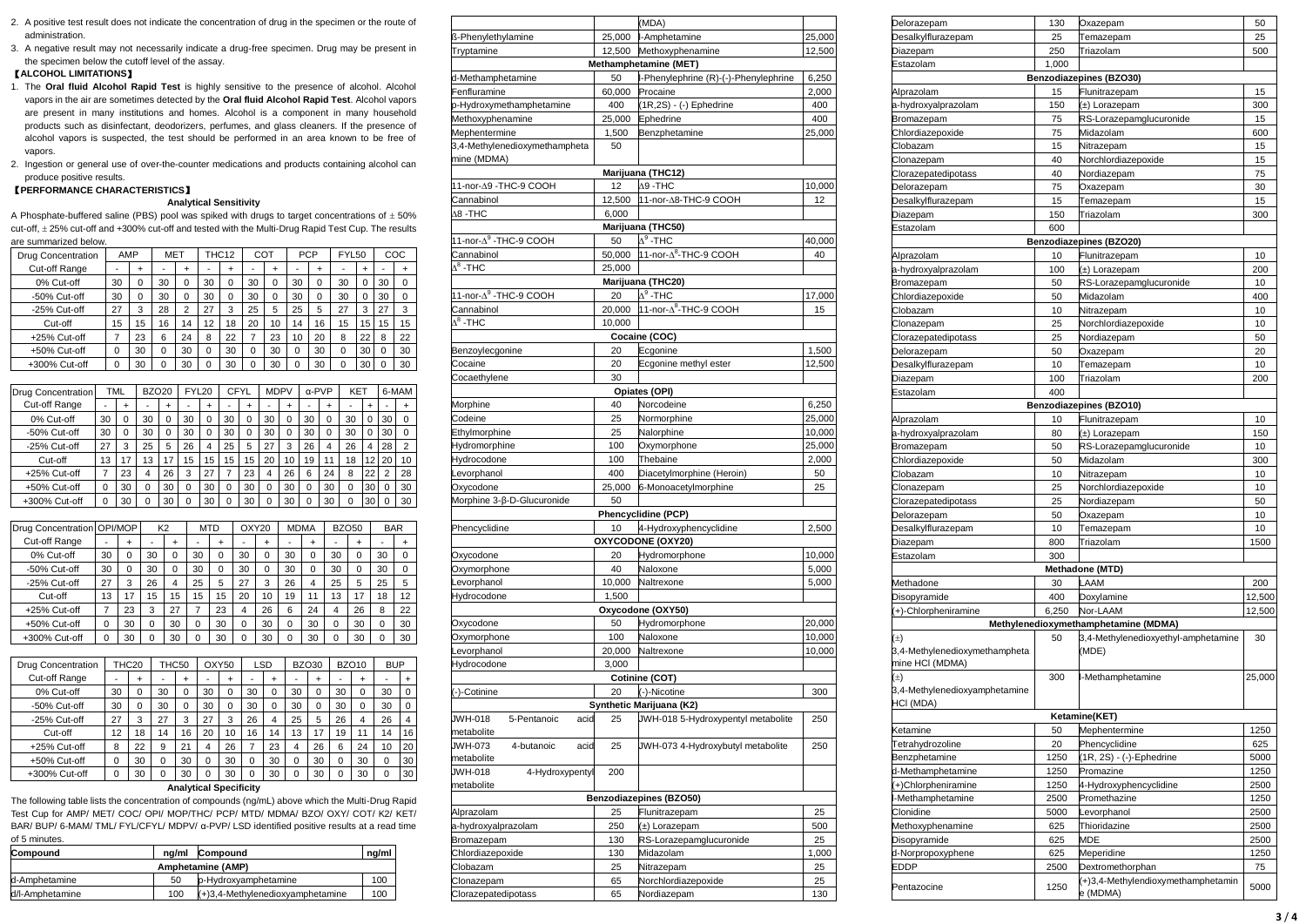- 2. A positive test result does not indicate the concentration of drug in the specimen or the route of administration.
- 3. A negative result may not necessarily indicate a drug-free specimen. Drug may be present in the specimen below the cutoff level of the assay.

# 【**ALCOHOL LIMITATIONS**】

- 1. The **Oral fluid Alcohol Rapid Test** is highly sensitive to the presence of alcohol. Alcohol vapors in the air are sometimes detected by the **Oral fluid Alcohol Rapid Test**. Alcohol vapors are present in many institutions and homes. Alcohol is a component in many household products such as disinfectant, deodorizers, perfumes, and glass cleaners. If the presence of alcohol vapors is suspected, the test should be performed in an area known to be free of vapors.
- 2. Ingestion or general use of over-the-counter medications and products containing alcohol can produce positive results.

# 【**PERFORMANCE CHARACTERISTICS**】

## **Analytical Sensitivity**

A Phosphate-buffered saline (PBS) pool was spiked with drugs to target concentrations of  $\pm$  50% cut-off, 25% cut-off and +300% cut-off and tested with the Multi-Drug Rapid Test Cup. The results are summarized below.

| <b>Drug Concentration</b> |                                                                                                                                                                                  | AMP           |                          |                | <b>MET</b>     |                |                               | THC <sub>12</sub> |             |                | COT            |                | <b>PCP</b>     |             |               | FYL50        |                | COC                      |                |
|---------------------------|----------------------------------------------------------------------------------------------------------------------------------------------------------------------------------|---------------|--------------------------|----------------|----------------|----------------|-------------------------------|-------------------|-------------|----------------|----------------|----------------|----------------|-------------|---------------|--------------|----------------|--------------------------|----------------|
| Cut-off Range             |                                                                                                                                                                                  |               | $\ddot{}$                |                |                | $\ddot{}$      |                               | $\ddot{}$         |             |                | $\ddot{}$      |                |                | $\ddot{}$   |               |              | $\ddot{}$      |                          | $\ddot{}$      |
| 0% Cut-off                |                                                                                                                                                                                  | 30            | 0                        | 30             |                | 0              | 30                            | 0                 |             | 30             | 0              | 30             |                | 0           |               | 30           | 0              | 30                       | 0              |
| -50% Cut-off              |                                                                                                                                                                                  | 30            | 0                        | 30             |                | 0              | 30                            | 0                 |             | 30             | 0              | 30             |                | 0           | 30            |              | 0              | 30                       | 0              |
| -25% Cut-off              |                                                                                                                                                                                  | 27            | 3                        | 28             |                | $\overline{2}$ | 27                            | 3                 |             | 25             | 5              | 25             |                | 5           | 27            |              | 3              | 27                       | 3              |
| Cut-off                   |                                                                                                                                                                                  | 15            | 15                       | 16             |                | 14             | 12                            | 18                |             | 20             | 10             | 14             |                | 16          |               | 15           | 15             | 15                       | 15             |
| +25% Cut-off              |                                                                                                                                                                                  | 7             | 23                       | 6              |                | 24             | 8                             | 22                |             | 7              | 23             | 10             |                | 20          | 8             |              | 22             | 8                        | 22             |
| +50% Cut-off              |                                                                                                                                                                                  | 0             | 30                       | 0              |                | 30             | 0                             | 30                |             | 0              | 30             | 0              |                | 30          | 0             |              | 30             | 0                        | 30             |
| +300% Cut-off             |                                                                                                                                                                                  | 0             | 30                       | 0              |                | 30             | $\Omega$                      | 30                |             | $\Omega$       | 30             | $\Omega$       |                | 30          | $\Omega$      |              | 30             | 0                        | 30             |
|                           |                                                                                                                                                                                  |               |                          |                |                |                |                               |                   |             |                |                |                |                |             |               |              |                |                          |                |
| Drug Concentration        |                                                                                                                                                                                  | <b>TML</b>    |                          | <b>BZO20</b>   |                |                | FYL20                         |                   | <b>CFYL</b> |                | <b>MDPV</b>    |                |                | α-PVP       |               | KET          |                |                          | 6-MAM          |
| Cut-off Range             | $\overline{a}$                                                                                                                                                                   | $\ddot{}$     | $\overline{\phantom{a}}$ |                | $\ddot{}$      | ٠              | $\ddot{}$                     | ÷                 |             | $\ddot{}$      | ÷              | $\ddot{}$      | ÷              | $\ddot{}$   |               | ÷            | $\ddot{}$      |                          | +              |
| 0% Cut-off                | 30                                                                                                                                                                               | 0             | 30                       |                | 0              | 30             | 0                             | 30                |             | 0              | 30             | 0              | 30             | 0           |               | 30           | 0              | 30                       | 0              |
| -50% Cut-off              | 30                                                                                                                                                                               | 0             | 30                       |                | 0              | 30             | 0                             | 30                |             | 0              | 30             | 0              | 30             | 0           |               | 30           | 0              | 30                       | 0              |
| -25% Cut-off              | 27                                                                                                                                                                               | 3             | 25                       |                | 5              | 26             | 4                             | 25                |             | 5              | 27             | 3              | 26             | 4           |               | 26           | $\overline{4}$ | 28                       | $\overline{2}$ |
| Cut-off                   | 13                                                                                                                                                                               | 17            | 13                       |                | 17             | 15             | 15                            | 15                |             | 15             | 20             | 10             | 19             | 11          |               | 18           | 12             | 20                       | 10             |
| +25% Cut-off              | 7                                                                                                                                                                                | 23            | 4                        |                | 26             | 3              | 27                            | $\overline{7}$    |             | 23             | $\overline{4}$ | 26             | 6              | 24          |               | 8            | 22             | $\overline{2}$           | 28             |
| +50% Cut-off              | 0                                                                                                                                                                                | 30            | 0                        |                | 30             | 0              | 30                            | 0                 |             | 30             | 0              | 30             | 0              |             | 30            | 0            | 30             | 0                        | 30             |
| +300% Cut-off             | 0                                                                                                                                                                                | 30            | 0                        |                | 30             | 0              | 30                            | 0                 |             | 30             | 0              | 30             | 0              | 30          |               | 0            | 30             | 0                        | 30             |
|                           |                                                                                                                                                                                  |               |                          |                |                |                |                               |                   |             |                |                |                |                |             |               |              |                |                          |                |
| Drug Concentration        | OPI/MOP                                                                                                                                                                          |               |                          | K <sub>2</sub> |                |                | <b>MTD</b>                    |                   |             | OXY20          |                |                | <b>MDMA</b>    |             |               | <b>BZO50</b> |                | <b>BAR</b>               |                |
| Cut-off Range             |                                                                                                                                                                                  | +             |                          | ٠              | $\ddot{}$      |                |                               | +                 |             |                | +              |                | $\ddot{}$      |             |               |              | +              |                          | $\ddot{}$      |
| 0% Cut-off                | 30                                                                                                                                                                               | 0             |                          | 30             | 0              |                | 30                            | 0                 |             | 30             | 0              | 30             | 0              |             | 30            |              | 0              | 30                       | 0              |
| -50% Cut-off              | 30                                                                                                                                                                               | $\mathbf 0$   |                          | 30             | 0              |                | 30                            | 0                 |             | 30             | 0              | 30             | 0              |             | 30            |              | 0              | 30                       | 0              |
| -25% Cut-off              | 27                                                                                                                                                                               | 3             |                          | 26             | $\overline{4}$ |                | 25                            | 5                 |             | 27             | 3              | 26             | $\overline{4}$ |             | 25            |              | 5              | 25                       | 5              |
| Cut-off                   | 13                                                                                                                                                                               | 17            |                          | 15             | 15             |                | 15                            | 15                |             | 20             | 10             | 19             | 11             |             | 13            |              | 17             | 18                       | 12             |
| +25% Cut-off              | 7                                                                                                                                                                                | 23            |                          | 3              | 27             |                | 7                             | 23                |             | 4              | 26             | 6              | 24             |             | 4             |              | 26             | 8                        | 22             |
| +50% Cut-off              | 0                                                                                                                                                                                | 30            |                          | 0              | 30             |                | 0                             | 30                |             | 0              | 30             | 0              | 30             |             | 0             |              | 30             | 0                        | 30             |
| +300% Cut-off             | 0                                                                                                                                                                                | 30            |                          | 0              | 30             |                | 0                             | 30                |             | 0              | 30             | 0              | 30             |             | 0             |              | 30             | 0                        | 30             |
|                           |                                                                                                                                                                                  |               |                          |                |                |                |                               |                   |             |                |                |                |                |             |               |              |                |                          |                |
| <b>Drug Concentration</b> |                                                                                                                                                                                  | THC20         |                          |                | THC50          |                | OXY50                         |                   |             |                | <b>LSD</b>     |                | <b>BZO30</b>   |             |               | <b>BZO10</b> |                | <b>BUP</b>               |                |
| Cut-off Range             |                                                                                                                                                                                  | $\frac{1}{2}$ | $\ddot{}$                | $\overline{a}$ |                | $\ddot{}$      | $\frac{1}{2}$                 | $\ddot{}$         |             | $\overline{a}$ | $\ddot{}$      | $\overline{a}$ |                | $\ddot{}$   | $\frac{1}{2}$ |              | $\ddot{}$      | $\overline{\phantom{a}}$ | $\ddot{}$      |
| 0% Cut-off                |                                                                                                                                                                                  | 30            | 0                        | 30             |                | 0              | 30                            | 0                 |             | 30             | 0              | 30             |                | 0           | 30            |              | 0              | 30                       | 0              |
| -50% Cut-off              |                                                                                                                                                                                  | 30            | 0                        | 30             |                | 0              | 30                            | 0                 |             | 30             | 0              | 30             |                | $\mathbf 0$ | 30            |              | 0              | 30                       | 0              |
| -25% Cut-off              |                                                                                                                                                                                  | 27            | 3                        | 27             |                | 3              | 27                            | 3                 |             | 26             | 4              | 25             |                | 5           | 26            |              | 4              | 26                       | 4              |
| Cut-off                   |                                                                                                                                                                                  | 12            | 18                       | 14             |                | 16             | 20                            | 10                |             | 16             | 14             | 13             |                | 17          | 19            |              | 11             | 14                       | 16             |
| +25% Cut-off              |                                                                                                                                                                                  | 8             | 22                       | 9              |                | 21             | 4                             | 26                |             | 7              | 23             | $\overline{4}$ |                | 26          | 6             |              | 24             | 10                       | 20             |
| +50% Cut-off              |                                                                                                                                                                                  | 0             | 30                       | 0              |                | 30             | 0                             | 30                |             | 0              | 30             | 0              |                | 30          | 0             |              | 30             | 0                        | 30             |
| +300% Cut-off             |                                                                                                                                                                                  | $\Omega$      | 30                       | 0              |                | 30             | $\Omega$                      | 30                |             | $\Omega$       | 30             | $\Omega$       |                | 30          | $\Omega$      |              | 30             | $\Omega$                 | 30             |
|                           |                                                                                                                                                                                  |               |                          |                |                |                | <b>Analytical Specificity</b> |                   |             |                |                |                |                |             |               |              |                |                          |                |
|                           | The following table lists the concentration of compounds (ng/mL) above which the Multi-Drug Rapid                                                                                |               |                          |                |                |                |                               |                   |             |                |                |                |                |             |               |              |                |                          |                |
|                           | Test Cup for AMP/ MET/ COC/ OPI/ MOP/THC/ PCP/ MTD/ MDMA/ BZO/ OXY/ COT/ K2/ KET/<br>BAR/ BUP/ 6-MAM/ TML/ FYL/CFYL/ MDPV/ α-PVP/ LSD identified positive results at a read time |               |                          |                |                |                |                               |                   |             |                |                |                |                |             |               |              |                |                          |                |
|                           |                                                                                                                                                                                  |               |                          |                |                |                |                               |                   |             |                |                |                |                |             |               |              |                |                          |                |

| Compound          | na/ml | Compound                            | ng/ml |  |  |
|-------------------|-------|-------------------------------------|-------|--|--|
| Amphetamine (AMP) |       |                                     |       |  |  |
| d-Amphetamine     | 50    | p-Hydroxyamphetamine                | 100   |  |  |
| d/l-Amphetamine   | 100   | $(+)$ 3,4-Methylenedioxyamphetamine | 100   |  |  |

|                                   |                 | (MDA)                                   |              |
|-----------------------------------|-----------------|-----------------------------------------|--------------|
| ß-Phenylethylamine                | 25,000          | I-Amphetamine                           | 25,000       |
| Tryptamine                        |                 | 12,500 Methoxyphenamine                 | 12,500       |
|                                   |                 | Methamphetamine (MET)                   |              |
| d-Methamphetamine                 | 50              | -Phenylephrine (R)-(-)-Phenylephrine    | 6,250        |
| Fenfluramine                      | 60,000          | Procaine                                | 2,000        |
| p-Hydroxymethamphetamine          | 400             | (1R,2S) - (-) Ephedrine                 | 400          |
| Methoxyphenamine                  | 25,000          | Ephedrine                               | 400          |
| Mephentermine                     | 1,500           | Benzphetamine                           | 25,000       |
| 3,4-Methylenedioxymethampheta     | 50              |                                         |              |
| mine (MDMA)                       |                 |                                         |              |
| 11-nor-A9 -THC-9 COOH             | 12              | Marijuana (THC12)                       |              |
|                                   | 12,500          | $\Delta$ 9 -THC<br>11-nor-A8-THC-9 COOH | 10,000<br>12 |
| Cannabinol<br><b>A8-THC</b>       | 6,000           |                                         |              |
|                                   |                 | Marijuana (THC50)                       |              |
| 11-nor-A <sup>9</sup> -THC-9 COOH | 50              | $\Delta^9$ -THC                         | 40,000       |
| Cannabinol                        | 50,000          | 11-nor-A <sup>8</sup> -THC-9 COOH       | 40           |
| $V_{\rm g}$ -THC                  | 25,000          |                                         |              |
|                                   |                 | Marijuana (THC20)                       |              |
| 11-nor-A <sup>9</sup> -THC-9 COOH | 20              | $\Delta^9$ -THC                         | 17,000       |
| Cannabinol                        | 20,000          | 11-nor-A <sup>8</sup> -THC-9 COOH       | 15           |
| $\mathcal{V}_8$ -THC              | 10,000          |                                         |              |
|                                   |                 | Cocaine (COC)                           |              |
| Benzoylecgonine                   | 20              | Ecgonine                                | 1,500        |
| Cocaine                           | 20              | Ecgonine methyl ester                   | 12,500       |
| Cocaethylene                      | 30              |                                         |              |
|                                   |                 | Opiates (OPI)                           |              |
| Morphine                          | 40              | Norcodeine                              | 6,250        |
| Codeine                           | 25              | Normorphine                             | 25,000       |
| Ethylmorphine                     | 25              | Nalorphine                              | 10,000       |
| Hydromorphine                     | 100             | Oxymorphone                             | 25,000       |
| Hydrocodone                       | 100             | Thebaine                                | 2,000        |
| evorphanol                        | 400             | Diacetylmorphine (Heroin)               | 50           |
| Oxycodone                         | 25,000          | 6-Monoacetylmorphine                    | 25           |
| Morphine 3-β-D-Glucuronide        | 50              |                                         |              |
|                                   |                 | Phencyclidine (PCP)                     |              |
| Phencyclidine                     | 10              | 4-Hydroxyphencyclidine                  | 2,500        |
|                                   |                 | OXYCODONE (OXY20)                       |              |
| Oxycodone                         | 20              | Hydromorphone                           | 10,000       |
| Oxymorphone                       | 40              | Naloxone                                | 5,000        |
| evorphanol                        | 10,000          | Naltrexone                              | 5,000        |
| Hydrocodone                       | 1,500           |                                         |              |
|                                   |                 | Oxycodone (OXY50)                       |              |
| Oxycodone                         | 50<br>100       | Hydromorphone<br>Naloxone               | 20,000       |
| Oxymorphone                       |                 | Naltrexone                              | 10,000       |
| Levorphanol<br>Hydrocodone        | 20,000<br>3,000 |                                         | 10,000       |
|                                   |                 | Cotinine (COT)                          |              |
|                                   | 20              | (-)-Nicotine                            | 300          |
| (-)-Cotinine                      |                 | Synthetic Marijuana (K2)                |              |
| JWH-018<br>5-Pentanoic<br>acid    | 25              | JWH-018 5-Hydroxypentyl metabolite      | 250          |
| metabolite                        |                 |                                         |              |
| JWH-073<br>4-butanoic<br>acid     | 25              | JWH-073 4-Hydroxybutyl metabolite       | 250          |
| metabolite                        |                 |                                         |              |
| JWH-018<br>4-Hydroxypentyl        | 200             |                                         |              |
| metabolite                        |                 |                                         |              |
|                                   |                 | Benzodiazepines (BZO50)                 |              |
| Alprazolam                        | 25              | Flunitrazepam                           | 25           |
| a-hydroxyalprazolam               | 250             | (±) Lorazepam                           | 500          |
| Bromazepam                        | 130             | RS-Lorazepamglucuronide                 | 25           |
| Chlordiazepoxide                  | 130             | Midazolam                               | 1,000        |
| Clobazam                          | 25              | Nitrazepam                              | 25           |
| Clonazepam                        | 65              | Norchlordiazepoxide                     | 25           |
| Clorazepatedipotass               |                 | Nordiazepam                             | 130          |

| Delorazepam                       | 130   | Oxazepam                             | 50     |  |  |
|-----------------------------------|-------|--------------------------------------|--------|--|--|
| Desalkylflurazepam                | 25    | Temazepam                            | 25     |  |  |
| Diazepam                          | 250   | Triazolam                            | 500    |  |  |
| Estazolam                         | 1,000 |                                      |        |  |  |
| Benzodiazepines (BZO30)           |       |                                      |        |  |  |
| Alprazolam                        | 15    | Flunitrazepam                        | 15     |  |  |
| a-hydroxyalprazolam               | 150   | (±) Lorazepam                        | 300    |  |  |
| Bromazepam                        | 75    | RS-Lorazepamglucuronide              | 15     |  |  |
| Chlordiazepoxide                  | 75    | Midazolam                            | 600    |  |  |
| Clobazam                          | 15    | Nitrazepam                           | 15     |  |  |
| Clonazepam                        | 40    | Norchlordiazepoxide                  | 15     |  |  |
| Clorazepatedipotass               | 40    | Nordiazepam                          | 75     |  |  |
| Delorazepam                       | 75    | Oxazepam                             | 30     |  |  |
| Desalkylflurazepam                | 15    | Temazepam                            | 15     |  |  |
| Diazepam                          | 150   | Triazolam                            | 300    |  |  |
| Estazolam                         | 600   |                                      |        |  |  |
|                                   |       | Benzodiazepines (BZO20)              |        |  |  |
| Alprazolam                        | 10    | Flunitrazepam                        | 10     |  |  |
| a-hydroxyalprazolam               | 100   | (±) Lorazepam                        | 200    |  |  |
| Bromazepam                        | 50    | RS-Lorazepamglucuronide              | 10     |  |  |
| Chlordiazepoxide                  | 50    | Midazolam                            | 400    |  |  |
| Clobazam                          | 10    | Nitrazepam                           | 10     |  |  |
| Clonazepam<br>Clorazepatedipotass | 25    | Norchlordiazepoxide                  | 10     |  |  |
|                                   | 25    | Nordiazepam                          | 50     |  |  |
| Delorazepam                       | 50    | Oxazepam                             | 20     |  |  |
| Desalkylflurazepam                | 10    | Temazepam                            | 10     |  |  |
| Diazepam                          | 100   | Triazolam                            | 200    |  |  |
| Estazolam                         | 400   |                                      |        |  |  |
|                                   |       | Benzodiazepines (BZO10)              |        |  |  |
| Alprazolam                        | 10    | Flunitrazepam                        | 10     |  |  |
| a-hydroxyalprazolam               | 80    | (±) Lorazepam                        | 150    |  |  |
| Bromazepam                        | 50    | RS-Lorazepamglucuronide              | 10     |  |  |
| Chlordiazepoxide                  | 50    | Midazolam                            | 300    |  |  |
| Clobazam                          | 10    | Nitrazepam                           | 10     |  |  |
| Clonazepam                        | 25    | Norchlordiazepoxide                  | 10     |  |  |
| Clorazepatedipotass               | 25    | Nordiazepam                          | 50     |  |  |
| Delorazepam                       | 50    | Oxazepam                             | 10     |  |  |
| Desalkylflurazepam                | 10    | Temazepam                            | 10     |  |  |
| Diazepam                          | 800   | Triazolam                            | 1500   |  |  |
| Estazolam                         | 300   |                                      |        |  |  |
|                                   |       | Methadone (MTD)                      |        |  |  |
| Methadone                         | 30    | LAAM                                 | 200    |  |  |
| Disopyramide                      | 400   | Doxylamine                           | 12,500 |  |  |
| (+)-Chlorpheniramine              | 6,250 | Nor-LAAM                             | 12,500 |  |  |
|                                   |       | Methylenedioxymethamphetamine (MDMA) |        |  |  |
| $(\pm)$                           | 50    | 3,4-Methylenedioxyethyl-amphetamine  | 30     |  |  |
| 3,4-Methylenedioxymethampheta     |       | (MDE)                                |        |  |  |
| mine HCI (MDMA)                   |       |                                      |        |  |  |
| $(\pm)$                           | 300   | I-Methamphetamine                    | 25,000 |  |  |
| 3,4-Methylenedioxyamphetamine     |       |                                      |        |  |  |
| HCI (MDA)                         |       |                                      |        |  |  |
|                                   |       | Ketamine(KET)                        |        |  |  |
| Ketamine                          | 50    | Mephentermine                        | 1250   |  |  |
| Tetrahydrozoline                  | 20    | Phencyclidine                        | 625    |  |  |
| Benzphetamine                     | 1250  | (1R, 2S) - (-)-Ephedrine             | 5000   |  |  |
| d-Methamphetamine                 | 1250  | Promazine                            | 1250   |  |  |
| (+)Chlorpheniramine               | 1250  | 4-Hydroxyphencyclidine               | 2500   |  |  |
| l-Methamphetamine<br>Clonidine    | 2500  | Promethazine                         | 1250   |  |  |
|                                   | 5000  | Levorphanol                          | 2500   |  |  |
| Methoxyphenamine                  | 625   | Thioridazine                         | 2500   |  |  |
| Disopyramide                      | 625   | MDE                                  | 2500   |  |  |
| d-Norpropoxyphene                 | 625   | Meperidine                           | 1250   |  |  |
| EDDP                              | 2500  | Dextromethorphan                     | 75     |  |  |
| Pentazocine                       | 1250  | (+)3,4-Methylendioxymethamphetamin   | 5000   |  |  |
|                                   |       | e (MDMA)                             |        |  |  |